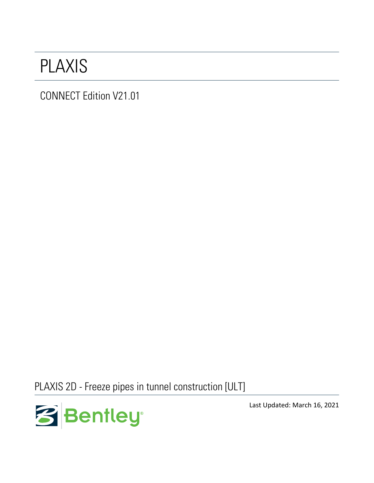## PLAXIS

CONNECT Edition V21.01

PLAXIS 2D - Freeze pipes in tunnel construction [ULT]



Last Updated: March 16, 2021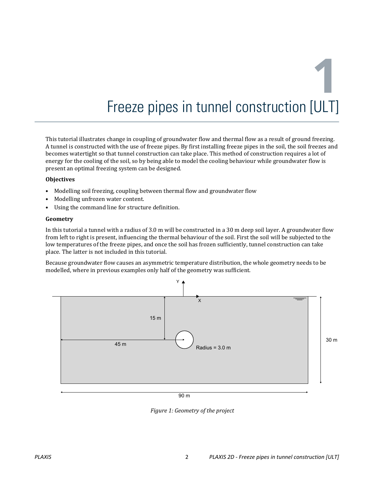# **1** Freeze pipes in tunnel construction [ULT]

This tutorial illustrates change in coupling of groundwater flow and thermal flow as a result of ground freezing. A tunnel is constructed with the use of freeze pipes. By first installing freeze pipes in the soil, the soil freezes and becomes watertight so that tunnel construction can take place. This method of construction requires a lot of energy for the cooling of the soil, so by being able to model the cooling behaviour while groundwater flow is present an optimal freezing system can be designed.

#### **Objectives**

- Modelling soil freezing, coupling between thermal flow and groundwater flow
- Modelling unfrozen water content.
- Using the command line for structure definition.

#### **Geometry**

In this tutorial a tunnel with a radius of 3.0 m will be constructed in a 30 m deep soil layer. A groundwater flow from left to right is present, influencing the thermal behaviour of the soil. First the soil will be subjected to the low temperatures of the freeze pipes, and once the soil has frozen sufficiently, tunnel construction can take place. The latter is not included in this tutorial.

Because groundwater flow causes an asymmetric temperature distribution, the whole geometry needs to be modelled, where in previous examples only half of the geometry was sufficient.



#### 90 m

*Figure 1: Geometry of the project*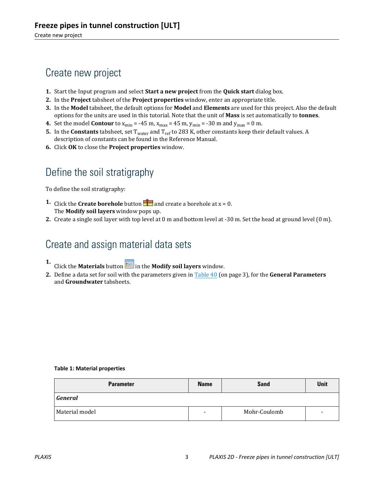## <span id="page-2-0"></span>Create new project

- **1.** Start the Input program and select **Start a new project** from the **Quick start** dialog box.
- **2.** In the **Project** tabsheet of the **Project properties** window, enter an appropriate title.
- **3.** In the **Model** tabsheet, the default options for **Model** and **Elements** are used for this project. Also the default options for the units are used in this tutorial. Note that the unit of **Mass** is set automatically to **tonnes**.
- **4.** Set the model **Contour** to  $x_{min} = -45$  m,  $x_{max} = 45$  m,  $y_{min} = -30$  m and  $y_{max} = 0$  m.
- **5.** In the **Constants** tabsheet, set Twater and Tref to 283 K, other constants keep their default values. A description of constants can be found in the Reference Manual.
- **6.** Click **OK** to close the **Project properties** window.

## Define the soil stratigraphy

To define the soil stratigraphy:

- **1.** Click the **Create borehole** button **a** and create a borehole at  $x = 0$ . The **Modify soil layers** window pops up.
- **2.** Create a single soil layer with top level at 0 m and bottom level at -30 m. Set the head at ground level (0 m).

## Create and assign material data sets

- **1.** Click the **Materials** button **in the Modify soil layers** window.
- **2.** Define a data set for soil with the parameters given in Table 40 (on page 3), for the **General Parameters** and **Groundwater** tabsheets.

#### **Table 1: Material properties**

| <b>Parameter</b> | <b>Name</b>              | <b>Sand</b>  | <b>Unit</b>              |
|------------------|--------------------------|--------------|--------------------------|
| General          |                          |              |                          |
| Material model   | $\overline{\phantom{0}}$ | Mohr-Coulomb | $\overline{\phantom{a}}$ |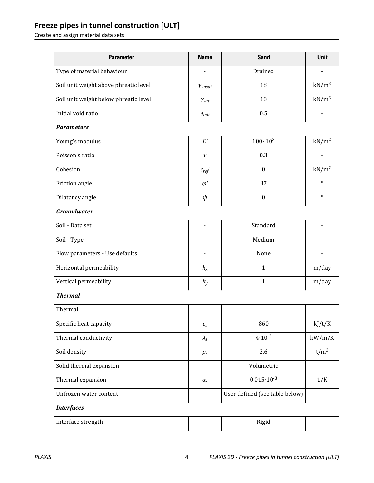## **Freeze pipes in tunnel construction [ULT]**

Create and assign material data sets

| <b>Parameter</b>                      | <b>Name</b>                      | <b>Sand</b>                    | <b>Unit</b>       |  |
|---------------------------------------|----------------------------------|--------------------------------|-------------------|--|
| Type of material behaviour            |                                  | Drained                        |                   |  |
| Soil unit weight above phreatic level | Yunsat                           | 18                             | $kN/m^3$          |  |
| Soil unit weight below phreatic level | $\gamma_{\text sat}$             | 18                             | $kN/m^3$          |  |
| Initial void ratio                    | $e_{init}$                       | 0.5                            |                   |  |
| <b>Parameters</b>                     |                                  |                                |                   |  |
| Young's modulus                       | E'                               | $100 \cdot 10^{3}$             | kN/m <sup>2</sup> |  |
| Poisson's ratio                       | $\mathcal V$                     | 0.3                            |                   |  |
| Cohesion                              | $c_{ref}$                        | $\boldsymbol{0}$               | kN/m <sup>2</sup> |  |
| Friction angle                        | $\varphi'$                       | 37                             | $\circ$           |  |
| Dilatancy angle                       | $\psi$                           | $\boldsymbol{0}$               | $\circ$           |  |
| <b>Groundwater</b>                    |                                  |                                |                   |  |
| Soil - Data set                       | $\overline{\phantom{0}}$         | Standard                       |                   |  |
| Soil - Type                           |                                  | Medium                         |                   |  |
| Flow parameters - Use defaults        | $\overline{\phantom{0}}$         | None                           |                   |  |
| Horizontal permeability               | $k_{x}$                          | $\mathbf{1}$                   | m/day             |  |
| Vertical permeability                 | $k_{y}$                          | $\mathbf{1}$                   | m/day             |  |
| <b>Thermal</b>                        |                                  |                                |                   |  |
| Thermal                               |                                  |                                |                   |  |
| Specific heat capacity                | $\mathcal{C}_S$                  | 860                            | kJ/t/K            |  |
| Thermal conductivity                  | $\lambda_{\scriptscriptstyle S}$ | $4.10^{-3}$                    | kW/m/K            |  |
| Soil density                          | $\rho_s$                         | 2.6                            | $t/m^3$           |  |
| Solid thermal expansion               | $\overline{a}$                   | Volumetric                     |                   |  |
| Thermal expansion                     | $\alpha_s$                       | $0.015 \cdot 10^{-3}$          | 1/K               |  |
| Unfrozen water content                | $\overline{\phantom{0}}$         | User defined (see table below) |                   |  |
| <b>Interfaces</b>                     |                                  |                                |                   |  |
| Interface strength                    | -                                | Rigid                          | -                 |  |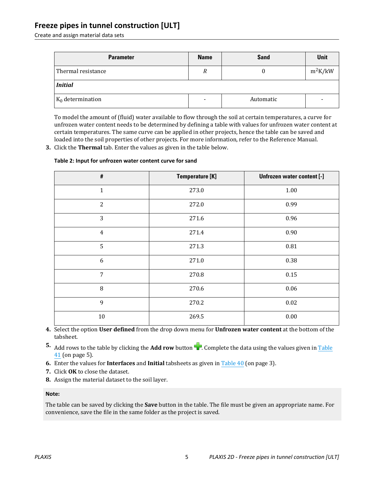#### **Freeze pipes in tunnel construction [ULT]**

Create and assign material data sets

| <b>Parameter</b>    | <b>Name</b> | <b>Sand</b> | Unit      |  |  |
|---------------------|-------------|-------------|-----------|--|--|
| Thermal resistance  | R           |             | $m^2K/kW$ |  |  |
| <b>Initial</b>      |             |             |           |  |  |
| $K_0$ determination | -           | Automatic   | $\,$      |  |  |

To model the amount of (fluid) water available to flow through the soil at certain temperatures, a curve for unfrozen water content needs to be determined by defining a table with values for unfrozen water content at certain temperatures. The same curve can be applied in other projects, hence the table can be saved and loaded into the soil properties of other projects. For more information, refer to the Reference Manual.

**3.** Click the **Thermal** tab. Enter the values as given in the table below.

#### **Table 2: Input for unfrozen water content curve for sand**

| #              | <b>Temperature [K]</b> | Unfrozen water content [-] |
|----------------|------------------------|----------------------------|
| $\mathbf{1}$   | 273.0                  | 1.00                       |
| $\overline{2}$ | 272.0                  | 0.99                       |
| 3              | 271.6                  | 0.96                       |
| $\overline{4}$ | 271.4                  | 0.90                       |
| 5              | 271.3                  | 0.81                       |
| 6              | 271.0                  | 0.38                       |
| $\overline{7}$ | 270.8                  | 0.15                       |
| 8              | 270.6                  | 0.06                       |
| 9              | 270.2                  | $0.02\,$                   |
| $10\,$         | 269.5                  | $0.00\,$                   |

- **4.** Select the option **User defined** from the drop down menu for **Unfrozen water content** at the bottom of the tabsheet.
- **5.** Add rows to the table by clicking the **Add row** button **1.** Complete the data using the values given in Table 41 (on page 5).
- **6.** Enter the values for **Interfaces** and **Initial** tabsheets as given in [Table 40](#page-2-0) (on page 3).
- **7.** Click **OK** to close the dataset.
- **8.** Assign the material dataset to the soil layer.

#### **Note:**

The table can be saved by clicking the **Save** button in the table. The file must be given an appropriate name. For convenience, save the file in the same folder as the project is saved.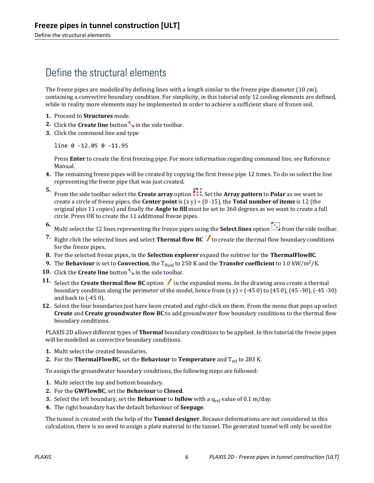## Define the structural elements

The freeze pipes are modelled by defining lines with a length similar to the freeze pipe diameter (10 cm), containing a convective boundary condition. For simplicity, in this tutorial only 12 cooling elements are defined, while in reality more elements may be implemented in order to achieve a sufficient share of frozen soil.

- **1.** Proceed to **Structures** mode.
- **2.** Click the **Create line** button in the side toolbar.
- **3.** Click the command line and type

line 0 -12.05 0 -11.95

Press **Enter** to create the first freezing pipe. For more information regarding command line, see Reference Manual.

- **4.** The remaining freeze pipes will be created by copying the first freeze pipe 12 times. To do so select the line representing the freeze pipe that was just created.
- **5.** From the side toolbar select the **Create array** option . Set the **Array pattern** to **Polar** as we want to create a circle of freeze pipes, the **Center point** is (x y) = (0 -15), the **Total number of items** is 12 (the original plus 11 copies) and finally the **Angle to fill** must be set to 360 degrees as we want to create a full circle. Press OK to create the 11 additional freeze pipes.
- **6.** Multi select the 12 lines representing the freeze pipes using the **Select lines** option **Full** from the side toolbar.
- **7.** Right click the selected lines and select **Thermal flow BC** to create the thermal flow boundary conditions for the freeze pipes.
- **8.** For the selected freeze pipes, in the **Selection explorer** expand the subtree for the **ThermalFlowBC**.
- **9.** The **Behaviour** is set to **Convection**, the T<sub>fluid</sub> to 250 K and the **Transfer coefficient** to 1.0 kW/m<sup>2</sup>/K.
- **10.** Click the **Create line** button in the side toolbar.
- **11.** Select the **Create thermal flow BC** option  $\mathcal{V}$  in the expanded menu. In the drawing area create a thermal boundary condition along the perimeter of the model, hence from  $(x y) = (-450)$  to  $(450)$ ,  $(45-30)$ ,  $(-45-30)$ and back to (-45 0).
- **12.** Select the four boundaries just have been created and right-click on them. From the menu that pops up select **Create** and **Create groundwater flow BC** to add groundwater flow boundary conditions to the thermal flow boundary conditions.

PLAXIS 2D allows different types of **Thermal** boundary conditions to be applied. In this tutorial the freeze pipes will be modelled as convective boundary conditions.

- **1.** Multi select the created boundaries.
- **2.** For the **ThermalFlowBC**, set the **Behaviour** to **Temperature** and  $T_{ref}$  to 283 K.

To assign the groundwater boundary conditions, the following steps are followed:

- **1.** Multi select the top and bottom boundary.
- **2.** For the **GWFlowBC**, set the **Behaviour** to **Closed**.
- **3.** Select the left boundary, set the **Behaviour** to **Inflow** with a q<sub>ref</sub> value of 0.1 m/day.
- **4.** The right boundary has the default behaviour of **Seepage**.

The tunnel is created with the help of the **Tunnel designer**. Because deformations are not considered in this calculation, there is no need to assign a plate material to the tunnel. The generated tunnel will only be used for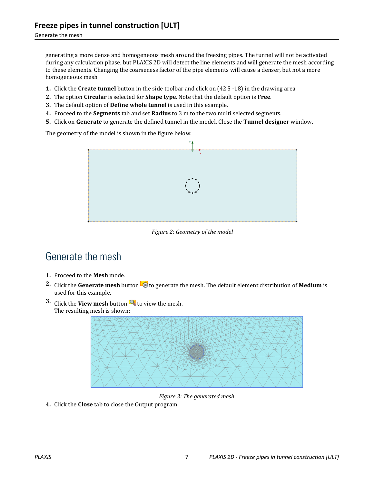Generate the mesh

generating a more dense and homogeneous mesh around the freezing pipes. The tunnel will not be activated during any calculation phase, but PLAXIS 2D will detect the line elements and will generate the mesh according to these elements. Changing the coarseness factor of the pipe elements will cause a denser, but not a more homogeneous mesh.

- **1.** Click the **Create tunnel** button in the side toolbar and click on (42.5 -18) in the drawing area.
- **2.** The option **Circular** is selected for **Shape type**. Note that the default option is **Free**.
- **3.** The default option of **Define whole tunnel** is used in this example.
- **4.** Proceed to the **Segments** tab and set **Radius** to 3 m to the two multi selected segments.
- **5.** Click on **Generate** to generate the defined tunnel in the model. Close the **Tunnel designer** window.

The geometry of the model is shown in the figure below.



*Figure 2: Geometry of the model*

## Generate the mesh

- **1.** Proceed to the **Mesh** mode.
- **2.** Click the **Generate mesh** button  $\mathbb{Z}$  to generate the mesh. The default element distribution of **Medium** is used for this example.
- **3.** Click the **View mesh** button **the view the mesh.** The resulting mesh is shown:



*Figure 3: The generated mesh*

**4.** Click the **Close** tab to close the Output program.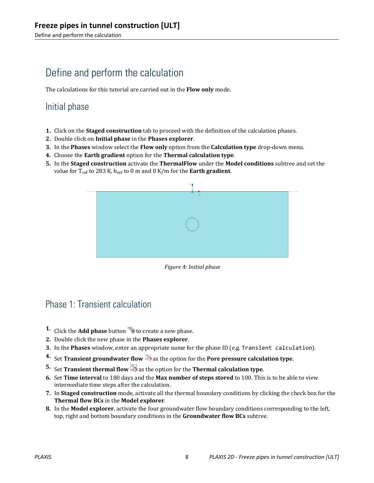Define and perform the calculation

## Define and perform the calculation

The calculations for this tutorial are carried out in the **Flow only** mode.

### Initial phase

- **1.** Click on the **Staged construction** tab to proceed with the definition of the calculation phases.
- **2.** Double click on **Initial phase** in the **Phases explorer**.
- **3.** In the **Phases** window select the **Flow only** option from the **Calculation type** drop-down menu.
- **4.** Choose the **Earth gradient** option for the **Thermal calculation type**.
- **5.** In the **Staged construction** activate the **ThermalFlow** under the **Model conditions** subtree and set the value for T<sub>ref</sub> to 283 K, h<sub>ref</sub> to 0 m and 0 K/m for the **Earth gradient**.



*Figure 4: Initial phase*

## Phase 1: Transient calculation

- **1.** Click the **Add phase** button **to** to create a new phase.
- **2.** Double click the new phase in the **Phases explorer**.
- **3.** In the **Phases** window, enter an appropriate name for the phase ID (e.g. Transient calculation).
- **4.** Set **Transient groundwater flow b** as the option for the **Pore pressure calculation type**.
- **5.** Set **Transient thermal flow 3** as the option for the **Thermal calculation type**.
- **6.** Set **Time interval** to 180 days and the **Max number of steps stored** to 100. This is to be able to view intermediate time steps after the calculation.
- **7.** In **Staged construction** mode, activate all the thermal boundary conditions by clicking the check box for the **Thermal flow BCs** in the **Model explorer**.
- **8.** In the **Model explorer**, activate the four groundwater flow boundary conditions corresponding to the left, top, right and bottom boundary conditions in the **Groundwater flow BCs** subtree.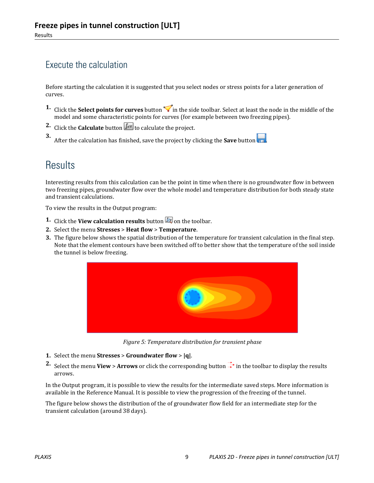## Execute the calculation

Before starting the calculation it is suggested that you select nodes or stress points for a later generation of curves.

- **1.** Click the **Select points for curves** button in the side toolbar. Select at least the node in the middle of the model and some characteristic points for curves (for example between two freezing pipes).
- **2.** Click the **Calculate** button  $\begin{bmatrix} \sqrt{4} \\ 4 \end{bmatrix}$  to calculate the project.

**3.** After the calculation has finished, save the project by clicking the **Save** button

## **Results**

Interesting results from this calculation can be the point in time when there is no groundwater flow in between two freezing pipes, groundwater flow over the whole model and temperature distribution for both steady state and transient calculations.

To view the results in the Output program:

- **1.** Click the **View calculation results** button **b** on the toolbar.
- **2.** Select the menu **Stresses** > **Heat flow** > **Temperature**.
- **3.** The figure below shows the spatial distribution of the temperature for transient calculation in the final step. Note that the element contours have been switched off to better show that the temperature of the soil inside the tunnel is below freezing.



*Figure 5: Temperature distribution for transient phase*

- **1.** Select the menu **Stresses** > **Groundwater flow** > **|q|**.
- **2.** Select the menu **View** > **Arrows** or click the corresponding button  $\frac{1}{\epsilon}$  in the toolbar to display the results arrows.

In the Output program, it is possible to view the results for the intermediate saved steps. More information is available in the Reference Manual. It is possible to view the progression of the freezing of the tunnel.

The figure below shows the distribution of the of groundwater flow field for an intermediate step for the transient calculation (around 38 days).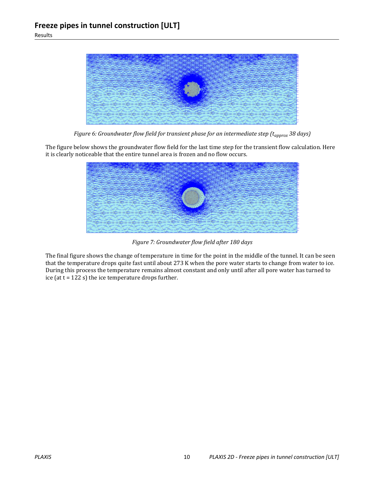

*Figure 6: Groundwater flow field for transient phase for an intermediate step (t<sub>approx</sub> 38 days)* 

The figure below shows the groundwater flow field for the last time step for the transient flow calculation. Here it is clearly noticeable that the entire tunnel area is frozen and no flow occurs.



*Figure 7: Groundwater flow field after 180 days*

The final figure shows the change of temperature in time for the point in the middle of the tunnel. It can be seen that the temperature drops quite fast until about 273 K when the pore water starts to change from water to ice. During this process the temperature remains almost constant and only until after all pore water has turned to ice (at  $t = 122$  s) the ice temperature drops further.